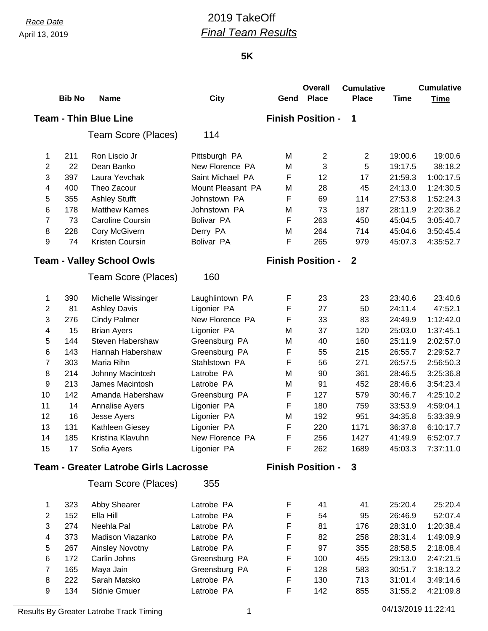# *Race Date* 2019 TakeOff *Final Team Results*

#### **5K**

|                                              | <b>Bib No</b> | <u>Name</u>                      | <b>City</b>       | Gend                     | <b>Overall</b><br><b>Place</b> | <b>Cumulative</b><br><b>Place</b> | <b>Time</b> | <b>Cumulative</b><br><b>Time</b> |
|----------------------------------------------|---------------|----------------------------------|-------------------|--------------------------|--------------------------------|-----------------------------------|-------------|----------------------------------|
|                                              |               | <b>Team - Thin Blue Line</b>     |                   |                          | <b>Finish Position -</b>       | 1                                 |             |                                  |
|                                              |               |                                  |                   |                          |                                |                                   |             |                                  |
|                                              |               | Team Score (Places)              | 114               |                          |                                |                                   |             |                                  |
| 1                                            | 211           | Ron Liscio Jr                    | Pittsburgh PA     | M                        | $\mathbf{2}$                   | $\overline{2}$                    | 19:00.6     | 19:00.6                          |
| 2                                            | 22            | Dean Banko                       | New Florence PA   | M                        | 3                              | 5                                 | 19:17.5     | 38:18.2                          |
| 3                                            | 397           | Laura Yevchak                    | Saint Michael PA  | F                        | 12                             | 17                                | 21:59.3     | 1:00:17.5                        |
| 4                                            | 400           | Theo Zacour                      | Mount Pleasant PA | M                        | 28                             | 45                                | 24:13.0     | 1:24:30.5                        |
| 5                                            | 355           | <b>Ashley Stufft</b>             | Johnstown PA      | F                        | 69                             | 114                               | 27:53.8     | 1:52:24.3                        |
| 6                                            | 178           | <b>Matthew Karnes</b>            | Johnstown PA      | M                        | 73                             | 187                               | 28:11.9     | 2:20:36.2                        |
| $\overline{7}$                               | 73            | <b>Caroline Coursin</b>          | <b>Bolivar PA</b> | F                        | 263                            | 450                               | 45:04.5     | 3:05:40.7                        |
| 8                                            | 228           | Cory McGivern                    | Derry PA          | M                        | 264                            | 714                               | 45:04.6     | 3:50:45.4                        |
| 9                                            | 74            | Kristen Coursin                  | Bolivar PA        | F                        | 265                            | 979                               | 45:07.3     | 4:35:52.7                        |
|                                              |               | <b>Team - Valley School Owls</b> |                   |                          | <b>Finish Position -</b>       | $\mathbf{2}$                      |             |                                  |
|                                              |               | Team Score (Places)              | 160               |                          |                                |                                   |             |                                  |
| 1                                            | 390           | Michelle Wissinger               | Laughlintown PA   | F                        | 23                             | 23                                | 23:40.6     | 23:40.6                          |
| $\overline{2}$                               | 81            | <b>Ashley Davis</b>              | Ligonier PA       | F                        | 27                             | 50                                | 24:11.4     | 47:52.1                          |
| 3                                            | 276           | <b>Cindy Palmer</b>              | New Florence PA   | F                        | 33                             | 83                                | 24:49.9     | 1:12:42.0                        |
| 4                                            | 15            | <b>Brian Ayers</b>               | Ligonier PA       | M                        | 37                             | 120                               | 25:03.0     | 1:37:45.1                        |
| 5                                            | 144           | Steven Habershaw                 | Greensburg PA     | M                        | 40                             | 160                               | 25:11.9     | 2:02:57.0                        |
| 6                                            | 143           | Hannah Habershaw                 | Greensburg PA     | F                        | 55                             | 215                               | 26:55.7     | 2:29:52.7                        |
| 7                                            | 303           | Maria Rihn                       | Stahlstown PA     | F                        | 56                             | 271                               | 26:57.5     | 2:56:50.3                        |
| 8                                            | 214           | Johnny Macintosh                 | Latrobe PA        | M                        | 90                             | 361                               | 28:46.5     | 3:25:36.8                        |
| 9                                            | 213           | James Macintosh                  | Latrobe PA        | M                        | 91                             | 452                               | 28:46.6     | 3:54:23.4                        |
| 10                                           | 142           | Amanda Habershaw                 | Greensburg PA     | F                        | 127                            | 579                               | 30:46.7     | 4:25:10.2                        |
| 11                                           | 14            | Annalise Ayers                   | Ligonier PA       | F                        | 180                            | 759                               | 33:53.9     | 4:59:04.1                        |
| 12                                           | 16            | Jesse Ayers                      | Ligonier PA       | M                        | 192                            | 951                               | 34:35.8     | 5:33:39.9                        |
| 13                                           | 131           | Kathleen Giesey                  | Ligonier PA       | F                        | 220                            | 1171                              | 36:37.8     | 6:10:17.7                        |
| 14                                           | 185           | Kristina Klavuhn                 | New Florence PA   | F                        | 256                            | 1427                              | 41:49.9     | 6:52:07.7                        |
| 15                                           | 17            | Sofia Ayers                      | Ligonier PA       | F                        | 262                            | 1689                              | 45:03.3     | 7:37:11.0                        |
| <b>Team - Greater Latrobe Girls Lacrosse</b> |               |                                  |                   | <b>Finish Position -</b> | 3                              |                                   |             |                                  |
|                                              |               | Team Score (Places)              | 355               |                          |                                |                                   |             |                                  |
| 1                                            | 323           | Abby Shearer                     | Latrobe PA        | F                        | 41                             | 41                                | 25:20.4     | 25:20.4                          |
| $\mathbf{2}$                                 | 152           | Ella Hill                        | Latrobe PA        | F                        | 54                             | 95                                | 26:46.9     | 52:07.4                          |
| 3                                            | 274           | Neehla Pal                       | Latrobe PA        | F                        | 81                             | 176                               | 28:31.0     | 1:20:38.4                        |
| 4                                            | 373           | Madison Viazanko                 | Latrobe PA        | F                        | 82                             | 258                               | 28:31.4     | 1:49:09.9                        |
| 5                                            | 267           | Ainsley Novotny                  | Latrobe PA        | F                        | 97                             | 355                               | 28:58.5     | 2:18:08.4                        |
| 6                                            | 172           | Carlin Johns                     | Greensburg PA     | F                        | 100                            | 455                               | 29:13.0     | 2:47:21.5                        |
| 7                                            | 165           | Maya Jain                        | Greensburg PA     | F                        | 128                            | 583                               | 30:51.7     | 3:18:13.2                        |
| 8                                            | 222           | Sarah Matsko                     | Latrobe PA        | F                        | 130                            | 713                               | 31:01.4     | 3:49:14.6                        |
| 9                                            | 134           | Sidnie Gmuer                     | Latrobe PA        | F                        | 142                            | 855                               | 31:55.2     | 4:21:09.8                        |

Results By Greater Latrobe Track Timing 1 04/13/2019 11:22:41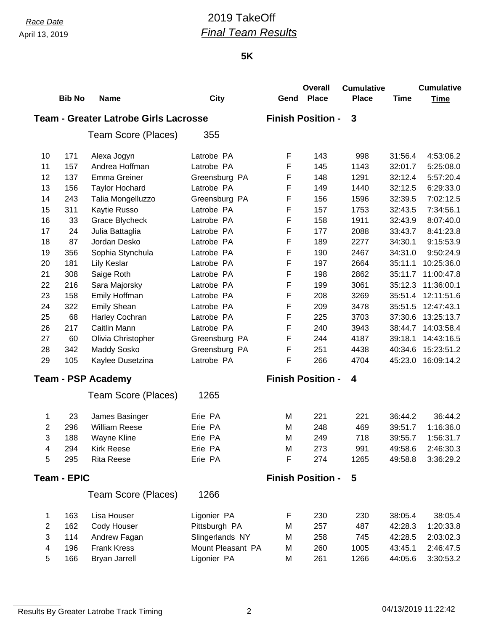# *Race Date* 2019 TakeOff *Final Team Results*

#### **5K**

|                           |                    |                                              |                   |                          | <b>Overall</b>           | <b>Cumulative</b> |             | <b>Cumulative</b> |
|---------------------------|--------------------|----------------------------------------------|-------------------|--------------------------|--------------------------|-------------------|-------------|-------------------|
|                           | <b>Bib No</b>      | <b>Name</b>                                  | <b>City</b>       | Gend                     | <b>Place</b>             | <b>Place</b>      | <b>Time</b> | <b>Time</b>       |
|                           |                    | <b>Team - Greater Latrobe Girls Lacrosse</b> |                   |                          | <b>Finish Position -</b> | 3                 |             |                   |
|                           |                    | Team Score (Places)                          | 355               |                          |                          |                   |             |                   |
| 10                        | 171                | Alexa Jogyn                                  | Latrobe PA        | F                        | 143                      | 998               | 31:56.4     | 4:53:06.2         |
| 11                        | 157                | Andrea Hoffman                               | Latrobe PA        | F                        | 145                      | 1143              | 32:01.7     | 5:25:08.0         |
| 12                        | 137                | <b>Emma Greiner</b>                          | Greensburg PA     | F                        | 148                      | 1291              | 32:12.4     | 5:57:20.4         |
| 13                        | 156                | <b>Taylor Hochard</b>                        | Latrobe PA        | F                        | 149                      | 1440              | 32:12.5     | 6:29:33.0         |
| 14                        | 243                | Talia Mongelluzzo                            | Greensburg PA     | F                        | 156                      | 1596              | 32:39.5     | 7:02:12.5         |
| 15                        | 311                | Kaytie Russo                                 | Latrobe PA        | F                        | 157                      | 1753              | 32:43.5     | 7:34:56.1         |
| 16                        | 33                 | Grace Blycheck                               | Latrobe PA        | F                        | 158                      | 1911              | 32:43.9     | 8:07:40.0         |
| 17                        | 24                 | Julia Battaglia                              | Latrobe PA        | F                        | 177                      | 2088              | 33:43.7     | 8:41:23.8         |
| 18                        | 87                 | Jordan Desko                                 | Latrobe PA        | F                        | 189                      | 2277              | 34:30.1     | 9:15:53.9         |
| 19                        | 356                | Sophia Stynchula                             | Latrobe PA        | F                        | 190                      | 2467              | 34:31.0     | 9:50:24.9         |
| 20                        | 181                | Lily Keslar                                  | Latrobe PA        | F                        | 197                      | 2664              | 35:11.1     | 10:25:36.0        |
| 21                        | 308                | Saige Roth                                   | Latrobe PA        | F                        | 198                      | 2862              | 35:11.7     | 11:00:47.8        |
| 22                        | 216                | Sara Majorsky                                | Latrobe PA        | F                        | 199                      | 3061              | 35:12.3     | 11:36:00.1        |
| 23                        | 158                | Emily Hoffman                                | Latrobe PA        | F                        | 208                      | 3269              | 35:51.4     | 12:11:51.6        |
| 24                        | 322                | <b>Emily Shean</b>                           | Latrobe PA        | F                        | 209                      | 3478              | 35:51.5     | 12:47:43.1        |
| 25                        | 68                 | Harley Cochran                               | Latrobe PA        | F                        | 225                      | 3703              | 37:30.6     | 13:25:13.7        |
| 26                        | 217                | Caitlin Mann                                 | Latrobe PA        | F                        | 240                      | 3943              | 38:44.7     | 14:03:58.4        |
| 27                        | 60                 | Olivia Christopher                           | Greensburg PA     | F                        | 244                      | 4187              | 39:18.1     | 14:43:16.5        |
| 28                        | 342                | <b>Maddy Sosko</b>                           | Greensburg PA     | F                        | 251                      | 4438              | 40:34.6     | 15:23:51.2        |
| 29                        | 105                | Kaylee Dusetzina                             | Latrobe PA        | F                        | 266                      | 4704              | 45:23.0     | 16:09:14.2        |
| <b>Team - PSP Academy</b> |                    |                                              |                   | <b>Finish Position -</b> | 4                        |                   |             |                   |
|                           |                    | Team Score (Places)                          | 1265              |                          |                          |                   |             |                   |
| 1                         | 23                 | James Basinger                               | Erie PA           | M                        | 221                      | 221               | 36:44.2     | 36:44.2           |
| $\overline{c}$            | 296                | <b>William Reese</b>                         | Erie PA           | M                        | 248                      | 469               | 39:51.7     | 1:16:36.0         |
| 3                         | 188                | Wayne Kline                                  | Erie PA           | M                        | 249                      | 718               | 39:55.7     | 1:56:31.7         |
| 4                         | 294                | <b>Kirk Reese</b>                            | Erie PA           | M                        | 273                      | 991               | 49:58.6     | 2:46:30.3         |
| 5                         | 295                | <b>Rita Reese</b>                            | Erie PA           | F                        | 274                      | 1265              | 49:58.8     | 3:36:29.2         |
|                           | <b>Team - EPIC</b> |                                              |                   |                          | <b>Finish Position -</b> | 5                 |             |                   |
|                           |                    | Team Score (Places)                          | 1266              |                          |                          |                   |             |                   |
| 1                         | 163                | Lisa Houser                                  | Ligonier PA       | F                        | 230                      | 230               | 38:05.4     | 38:05.4           |
| $\boldsymbol{2}$          | 162                | Cody Houser                                  | Pittsburgh PA     | M                        | 257                      | 487               | 42:28.3     | 1:20:33.8         |
| 3                         | 114                | Andrew Fagan                                 | Slingerlands NY   | M                        | 258                      | 745               | 42:28.5     | 2:03:02.3         |
| $\overline{\mathbf{4}}$   | 196                | <b>Frank Kress</b>                           | Mount Pleasant PA | M                        | 260                      | 1005              | 43:45.1     | 2:46:47.5         |
| 5                         | 166                | <b>Bryan Jarrell</b>                         | Ligonier PA       | M                        | 261                      | 1266              | 44:05.6     | 3:30:53.2         |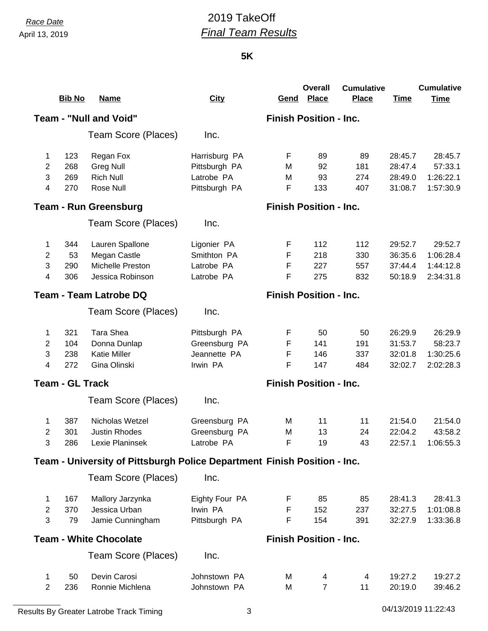# *Race Date* 2019 TakeOff *Final Team Results*

#### **5K**

|                                                                | <b>Bib No</b>          | <b>Name</b>                                                              | <b>City</b>                   | <u>Gend</u>                   | <b>Overall</b><br><b>Place</b> | <b>Cumulative</b><br><b>Place</b> | <b>Time</b> | <b>Cumulative</b><br><b>Time</b> |  |
|----------------------------------------------------------------|------------------------|--------------------------------------------------------------------------|-------------------------------|-------------------------------|--------------------------------|-----------------------------------|-------------|----------------------------------|--|
|                                                                |                        | <b>Team - "Null and Void"</b>                                            |                               | <b>Finish Position - Inc.</b> |                                |                                   |             |                                  |  |
|                                                                |                        |                                                                          |                               |                               |                                |                                   |             |                                  |  |
|                                                                |                        | Team Score (Places)                                                      | Inc.                          |                               |                                |                                   |             |                                  |  |
| 1                                                              | 123                    | Regan Fox                                                                | Harrisburg PA                 | F                             | 89                             | 89                                | 28:45.7     | 28:45.7                          |  |
| $\overline{c}$                                                 | 268                    | <b>Greg Null</b>                                                         | Pittsburgh PA                 | м                             | 92                             | 181                               | 28:47.4     | 57:33.1                          |  |
| 3                                                              | 269                    | <b>Rich Null</b>                                                         | Latrobe PA                    | M                             | 93                             | 274                               | 28:49.0     | 1:26:22.1                        |  |
| 4                                                              | 270                    | Rose Null                                                                | Pittsburgh PA                 | F                             | 133                            | 407                               | 31:08.7     | 1:57:30.9                        |  |
|                                                                |                        | <b>Team - Run Greensburg</b>                                             |                               | <b>Finish Position - Inc.</b> |                                |                                   |             |                                  |  |
|                                                                |                        | Team Score (Places)                                                      | Inc.                          |                               |                                |                                   |             |                                  |  |
| 1                                                              | 344                    | Lauren Spallone                                                          | Ligonier PA                   | F                             | 112                            | 112                               | 29:52.7     | 29:52.7                          |  |
| $\overline{2}$                                                 | 53                     | Megan Castle                                                             | Smithton PA                   | F                             | 218                            | 330                               | 36:35.6     | 1:06:28.4                        |  |
| 3                                                              | 290                    | Michelle Preston                                                         | Latrobe PA                    | F                             | 227                            | 557                               | 37:44.4     | 1:44:12.8                        |  |
| 4                                                              | 306                    | Jessica Robinson                                                         | Latrobe PA                    | F                             | 275                            | 832                               | 50:18.9     | 2:34:31.8                        |  |
|                                                                |                        | <b>Team - Team Latrobe DQ</b>                                            |                               | <b>Finish Position - Inc.</b> |                                |                                   |             |                                  |  |
|                                                                |                        | Team Score (Places)                                                      | Inc.                          |                               |                                |                                   |             |                                  |  |
| 1                                                              | 321                    | Tara Shea                                                                | Pittsburgh PA                 | F                             | 50                             | 50                                | 26:29.9     | 26:29.9                          |  |
| $\overline{2}$                                                 | 104                    | Donna Dunlap                                                             | Greensburg PA                 | F                             | 141                            | 191                               | 31:53.7     | 58:23.7                          |  |
| 3                                                              | 238                    | <b>Katie Miller</b>                                                      | Jeannette PA                  | F                             | 146                            | 337                               | 32:01.8     | 1:30:25.6                        |  |
| 4                                                              | 272                    | Gina Olinski                                                             | Irwin PA                      | F                             | 147                            | 484                               | 32:02.7     | 2:02:28.3                        |  |
|                                                                | <b>Team - GL Track</b> |                                                                          | <b>Finish Position - Inc.</b> |                               |                                |                                   |             |                                  |  |
|                                                                |                        | Team Score (Places)                                                      | Inc.                          |                               |                                |                                   |             |                                  |  |
| 1                                                              | 387                    | Nicholas Wetzel                                                          | Greensburg PA                 | M                             | 11                             | 11                                | 21:54.0     | 21:54.0                          |  |
| 2                                                              | 301                    | <b>Justin Rhodes</b>                                                     | Greensburg PA                 | M                             | 13                             | 24                                | 22:04.2     | 43:58.2                          |  |
| 3                                                              | 286                    | Lexie Planinsek                                                          | Latrobe PA                    | F                             | 19                             | 43                                | 22:57.1     | 1:06:55.3                        |  |
|                                                                |                        | Team - University of Pittsburgh Police Department Finish Position - Inc. |                               |                               |                                |                                   |             |                                  |  |
|                                                                |                        | Team Score (Places)                                                      | Inc.                          |                               |                                |                                   |             |                                  |  |
| 1                                                              | 167                    | Mallory Jarzynka                                                         | Eighty Four PA                | F                             | 85                             | 85                                | 28:41.3     | 28:41.3                          |  |
| $\overline{2}$                                                 | 370                    | Jessica Urban                                                            | Irwin PA                      | F                             | 152                            | 237                               | 32:27.5     | 1:01:08.8                        |  |
| 3                                                              | 79                     | Jamie Cunningham                                                         | Pittsburgh PA                 | F                             | 154                            | 391                               | 32:27.9     | 1:33:36.8                        |  |
| <b>Team - White Chocolate</b><br><b>Finish Position - Inc.</b> |                        |                                                                          |                               |                               |                                |                                   |             |                                  |  |
|                                                                |                        | Team Score (Places)                                                      | Inc.                          |                               |                                |                                   |             |                                  |  |
| 1                                                              | 50                     | Devin Carosi                                                             | Johnstown PA                  | M                             | 4                              | 4                                 | 19:27.2     | 19:27.2                          |  |
| $\overline{2}$                                                 | 236                    | Ronnie Michlena                                                          | Johnstown PA                  | м                             | $\overline{7}$                 | 11                                | 20:19.0     | 39:46.2                          |  |